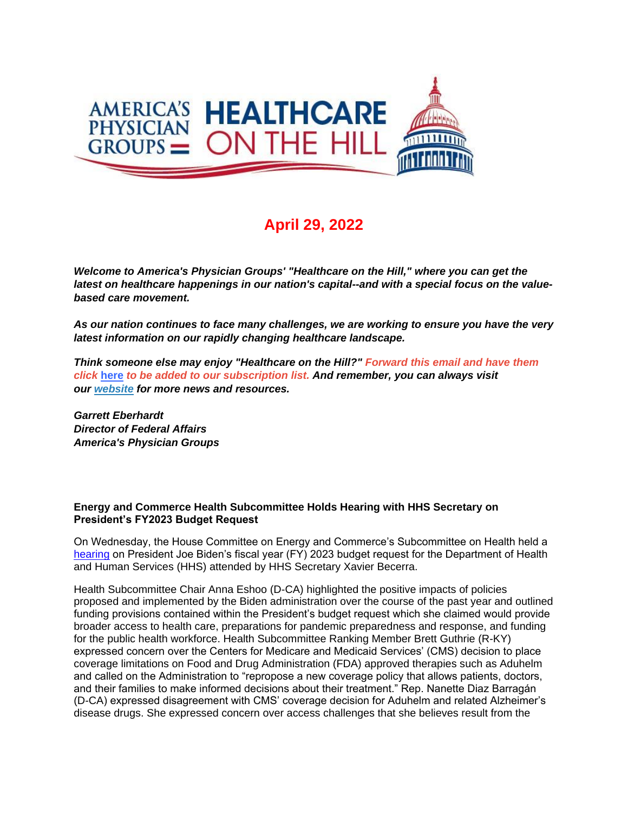

## **April 29, 2022**

*Welcome to America's Physician Groups' "Healthcare on the Hill," where you can get the latest on healthcare happenings in our nation's capital--and with a special focus on the valuebased care movement.*

*As our nation continues to face many challenges, we are working to ensure you have the very latest information on our rapidly changing healthcare landscape.*

*Think someone else may enjoy "Healthcare on the Hill?" Forward this email and have them click* **[here](http://link.apg.org/c/7/eyJhaSI6Njk4MDUxNDQsImUiOiJncGhpbGxpcHNAYXBnLm9yZyIsInJpIjoiY29udGFjdC03YWMxOTAzZjFkYzVlYTExYTgxMjAwMGQzYTVhMTdlMy0yZjEwYzVmZDBhMGQ0MmQxOWVmZTZlZmM2OGFmMTI1NSIsInJxIjoiMDItYjIyMTE5LTljZWE3NDVkOWM1NDRhNTViNmY4MjhhZTBjMWRiZDliIiwicGgiOm51bGwsIm0iOmZhbHNlLCJ1aSI6IjAiLCJ1biI6IiIsInUiOiJodHRwOi8vd2ViLmFwZy5vcmcvY24vYWVkbHcvc3Vic2NyaWJlP19jbGRlZT0wQnNWRTVmNFJQVFZvc2xyQ3VIdmtoaTlHaEZ3SmFNSjVreUh3ZUtsSzh1U0ZITGxmcGxhV21EOFpqYVMySzBlJnJlY2lwaWVudGlkPWNvbnRhY3QtN2FjMTkwM2YxZGM1ZWExMWE4MTIwMDBkM2E1YTE3ZTMtMmYxMGM1ZmQwYTBkNDJkMTllZmU2ZWZjNjhhZjEyNTUmZXNpZD1iZTMzYTE2OC01NmM3LWVjMTEtYTdiNi0wMDBkM2EzNDM0OTcifQ/VSFWlmu1agvepGFZvNT5AA)** *to be added to our subscription list. And remember, you can always visit our [website](http://link.apg.org/c/7/eyJhaSI6Njk4MDUxNDQsImUiOiJncGhpbGxpcHNAYXBnLm9yZyIsInJpIjoiY29udGFjdC03YWMxOTAzZjFkYzVlYTExYTgxMjAwMGQzYTVhMTdlMy0yZjEwYzVmZDBhMGQ0MmQxOWVmZTZlZmM2OGFmMTI1NSIsInJxIjoiMDItYjIyMTE5LTljZWE3NDVkOWM1NDRhNTViNmY4MjhhZTBjMWRiZDliIiwicGgiOm51bGwsIm0iOmZhbHNlLCJ1aSI6IjEiLCJ1biI6IiIsInUiOiJodHRwOi8vd3d3LmFwZy5vcmc_X2NsZGVlPTBCc1ZFNWY0UlBUVm9zbHJDdUh2a2hpOUdoRndKYU1KNWt5SHdlS2xLOHVTRkhMbGZwbGFXbUQ4WmphUzJLMGUmcmVjaXBpZW50aWQ9Y29udGFjdC03YWMxOTAzZjFkYzVlYTExYTgxMjAwMGQzYTVhMTdlMy0yZjEwYzVmZDBhMGQ0MmQxOWVmZTZlZmM2OGFmMTI1NSZlc2lkPWJlMzNhMTY4LTU2YzctZWMxMS1hN2I2LTAwMGQzYTM0MzQ5NyJ9/WYwESgnma_BjXQRCYAAiHw) for more news and resources.* 

*Garrett Eberhardt Director of Federal Affairs America's Physician Groups*

## **Energy and Commerce Health Subcommittee Holds Hearing with HHS Secretary on President's FY2023 Budget Request**

On Wednesday, the House Committee on Energy and Commerce's Subcommittee on Health held a [hearing](http://link.apg.org/c/7/eyJhaSI6Njk4MDUxNDQsImUiOiJncGhpbGxpcHNAYXBnLm9yZyIsInJpIjoiY29udGFjdC03YWMxOTAzZjFkYzVlYTExYTgxMjAwMGQzYTVhMTdlMy0yZjEwYzVmZDBhMGQ0MmQxOWVmZTZlZmM2OGFmMTI1NSIsInJxIjoiMDItYjIyMTE5LTljZWE3NDVkOWM1NDRhNTViNmY4MjhhZTBjMWRiZDliIiwicGgiOm51bGwsIm0iOmZhbHNlLCJ1aSI6IjIiLCJ1biI6IiIsInUiOiJodHRwczovL2VuZXJneWNvbW1lcmNlLmhvdXNlLmdvdi9jb21taXR0ZWUtYWN0aXZpdHkvaGVhcmluZ3MvaGVhcmluZy1vbi10aGUtZmlzY2FsLXllYXItMjAyMy1oaHMtYnVkZ2V0P19jbGRlZT0wQnNWRTVmNFJQVFZvc2xyQ3VIdmtoaTlHaEZ3SmFNSjVreUh3ZUtsSzh1U0ZITGxmcGxhV21EOFpqYVMySzBlJnJlY2lwaWVudGlkPWNvbnRhY3QtN2FjMTkwM2YxZGM1ZWExMWE4MTIwMDBkM2E1YTE3ZTMtMmYxMGM1ZmQwYTBkNDJkMTllZmU2ZWZjNjhhZjEyNTUmZXNpZD1iZTMzYTE2OC01NmM3LWVjMTEtYTdiNi0wMDBkM2EzNDM0OTcifQ/lj_4CNZ2YwTAi-j2A6wQRQ) on President Joe Biden's fiscal year (FY) 2023 budget request for the Department of Health and Human Services (HHS) attended by HHS Secretary Xavier Becerra.

Health Subcommittee Chair Anna Eshoo (D-CA) highlighted the positive impacts of policies proposed and implemented by the Biden administration over the course of the past year and outlined funding provisions contained within the President's budget request which she claimed would provide broader access to health care, preparations for pandemic preparedness and response, and funding for the public health workforce. Health Subcommittee Ranking Member Brett Guthrie (R-KY) expressed concern over the Centers for Medicare and Medicaid Services' (CMS) decision to place coverage limitations on Food and Drug Administration (FDA) approved therapies such as Aduhelm and called on the Administration to "repropose a new coverage policy that allows patients, doctors, and their families to make informed decisions about their treatment." Rep. Nanette Diaz Barragán (D-CA) expressed disagreement with CMS' coverage decision for Aduhelm and related Alzheimer's disease drugs. She expressed concern over access challenges that she believes result from the